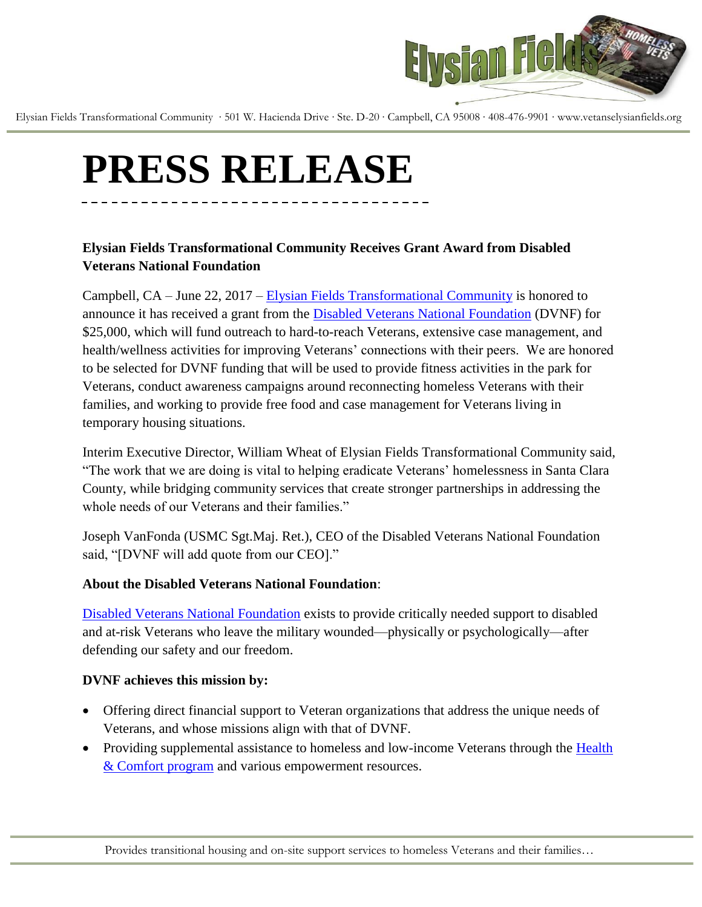

Elysian Fields Transformational Community ∙ 501 W. Hacienda Drive ∙ Ste. D-20 ∙ Campbell, CA 95008 ∙ 408-476-9901 ∙ www.vetanselysianfields.org

# **PRESS RELEASE**

## **Elysian Fields Transformational Community Receives Grant Award from Disabled Veterans National Foundation**

Campbell, CA – June 22, 2017 – [Elysian Fields Transformational Community](http://www.vetanselysianfields.org/) is honored to announce it has received a grant from the [Disabled Veterans National Foundation](http://www.dvnf.org/) (DVNF) for \$25,000, which will fund outreach to hard-to-reach Veterans, extensive case management, and health/wellness activities for improving Veterans' connections with their peers. We are honored to be selected for DVNF funding that will be used to provide fitness activities in the park for Veterans, conduct awareness campaigns around reconnecting homeless Veterans with their families, and working to provide free food and case management for Veterans living in temporary housing situations.

Interim Executive Director, William Wheat of Elysian Fields Transformational Community said, ―The work that we are doing is vital to helping eradicate Veterans' homelessness in Santa Clara County, while bridging community services that create stronger partnerships in addressing the whole needs of our Veterans and their families."

Joseph VanFonda (USMC Sgt.Maj. Ret.), CEO of the Disabled Veterans National Foundation said, "[DVNF will add quote from our CEO]."

### **About the Disabled Veterans National Foundation**:

[Disabled Veterans National Foundation](http://www.dvnf.org/) exists to provide critically needed support to disabled and at-risk Veterans who leave the military wounded—physically or psychologically—after defending our safety and our freedom.

#### **DVNF achieves this mission by:**

- Offering direct financial support to Veteran organizations that address the unique needs of Veterans, and whose missions align with that of DVNF.
- Providing supplemental assistance to homeless and low-income Veterans through the Health [& Comfort program](http://dvnf.org/our-work/grants/health-comfort-grant/) and various empowerment resources.

Provides transitional housing and on-site support services to homeless Veterans and their families…